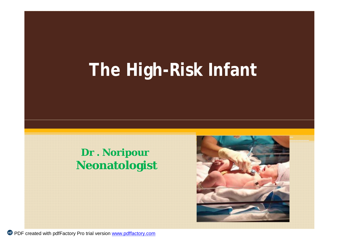# **The High-Risk Infant**

### **Dr . Noripour Neonatologist**

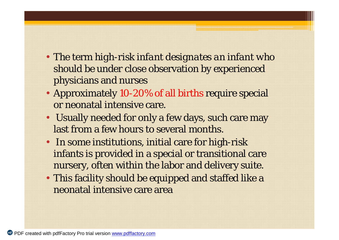- The term *high-risk infant designates an infant who should be under* close observation by experienced physicians and nurses
- Approximately 10-20% of all births require special or neonatal intensive care.
- Usually needed for only a few days, such care may last from a few hours to several months.
- In some institutions, initial care for high-risk infants is provided in a special or transitional care nursery, often within the labor and delivery suite.
- This facility should be equipped and staffed like a neonatal intensive care area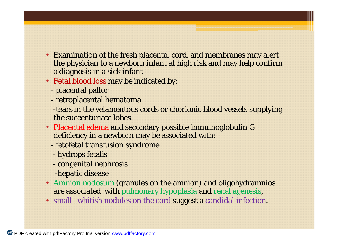- Examination of the fresh placenta, cord, and membranes may alert the physician to a newborn infant at high risk and may help confirm a diagnosis in a sick infant
- Fetal blood loss may be indicated by:
	- placental pallor
	- retroplacental hematoma
	- -tears in the velamentous cords or chorionic blood vessels supplying the succenturiate lobes.
- Placental edema and secondary possible immunoglobulin G deficiency in a newborn may be associated with:
	- fetofetal transfusion syndrome
	- hydrops fetalis
	- congenital nephrosis
	- -hepatic disease
- Amnion nodosum (granules on the amnion) and oligohydramnios are associated with pulmonary hypoplasia and renal agenesis,
- small whitish nodules on the cord suggest a candidal infection.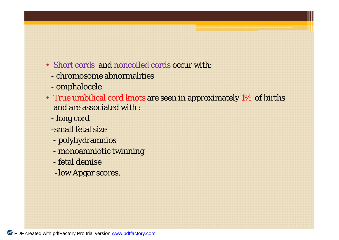- Short cords and noncoiled cords occur with:
	- chromosome abnormalities
	- omphalocele
- True umbilical cord knots are seen in approximately 1% of births and are associated with :
	- long cord
	- -small fetal size
	- polyhydramnios
	- monoamniotic twinning
	- fetal demise
	- -low Apgar scores.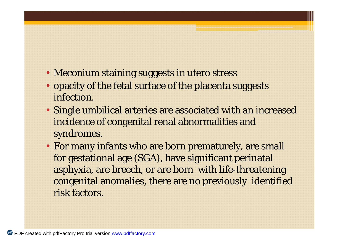- Meconium staining suggests in utero stress
- opacity of the fetal surface of the placenta suggests infection.
- Single umbilical arteries are associated with an increased incidence of congenital renal abnormalities and syndromes.
- For many infants who are born prematurely, are small for gestational age (SGA), have significant perinatal asphyxia, are breech, or are born with life-threatening congenital anomalies, there are no previously identified risk factors.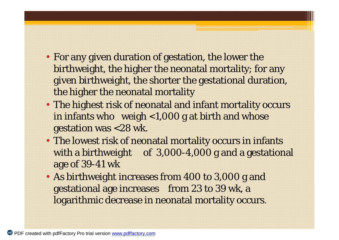- For any given duration of gestation, the lower the birthweight, the higher the neonatal mortality; for any given birthweight, the shorter the gestational duration, the higher the neonatal mortality
- The highest risk of neonatal and infant mortality occurs in infants who weigh <1,000 g at birth and whose gestation was <28 wk.
- The lowest risk of neonatal mortality occurs in infants with a birthweight of 3,000-4,000 g and a gestational age of 39-41 wk
- As birthweight increases from 400 to 3,000 g and gestational age increases from 23 to 39 wk, a logarithmic decrease in neonatal mortality occurs.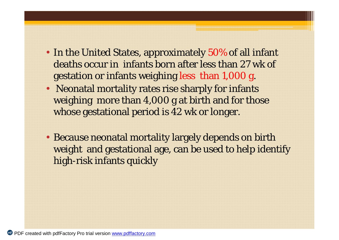- In the United States, approximately 50% of all infant deaths occur in infants born after less than 27 wk of gestation or infants weighing less than 1,000 g.
- Neonatal mortality rates rise sharply for infants weighing more than 4,000 g at birth and for those whose gestational period is 42 wk or longer.
- Because neonatal mortality largely depends on birth weight and gestational age, can be used to help identify high-risk infants quickly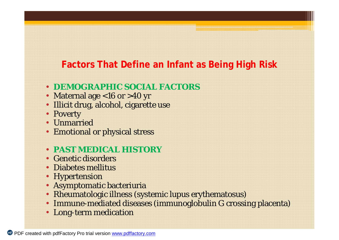#### **Factors That Define an Infant as Being High Risk**

#### • **DEMOGRAPHIC SOCIAL FACTORS**

- Maternal age <16 or >40 yr
- Illicit drug, alcohol, cigarette use
- Poverty
- Unmarried
- Emotional or physical stress
- **PAST MEDICAL HISTORY**
- Genetic disorders
- Diabetes mellitus
- Hypertension
- Asymptomatic bacteriuria
- Rheumatologic illness (systemic lupus erythematosus)
- Immune-mediated diseases (immunoglobulin G crossing placenta)
- Long-term medication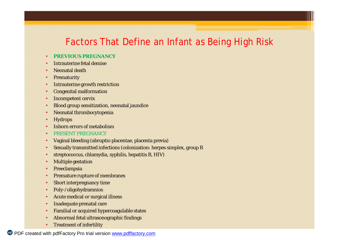#### Factors That Define an Infant as Being High Risk

#### • **PREVIOUS PREGNANCY**

- Intrauterine fetal demise
- Neonatal death
- **Prematurity**
- Intrauterine growth restriction
- Congenital malformation
- Incompetent cervix
- Blood group sensitization, neonatal jaundice
- Neonatal thrombocytopenia
- **Hydrops**
- Inborn errors of metabolism
- PRESENT PREGNANCY
- Vaginal bleeding (abruptio placentae, placenta previa)
- Sexually transmitted infections (colonization: herpes simplex, group B
- streptococcus, chlamydia, syphilis, hepatitis B, HIV)
- Multiple gestation
- **Preeclampsia**
- Premature rupture of membranes
- **Short interpregnancy time**
- Poly-/oligohydramnios
- Acute medical or surgical illness
- Inadequate prenatal care
- Familial or acquired hypercoagulable states
- Abnormal fetal ultrasonographic findings
- **Treatment of infertility**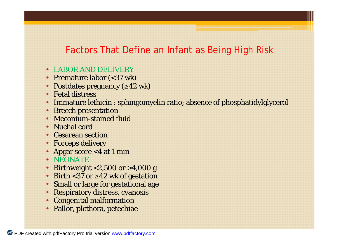#### Factors That Define an Infant as Being High Risk

- LABOR AND DELIVERY
- Premature labor (<37 wk)
- Postdates pregnancy (≥42 wk)
- Fetal distress
- Immature lethicin : sphingomyelin ratio; absence of phosphatidylglycerol
- Breech presentation
- Meconium-stained fluid
- Nuchal cord
- **Cesarean section**
- Forceps delivery
- Apgar score <4 at 1 min
- NEONATE
- Birthweight <2,500 or >4,000 g
- Birth <37 or ≥42 wk of gestation
- Small or large for gestational age
- Respiratory distress, cyanosis
- Congenital malformation
- Pallor, plethora, petechiae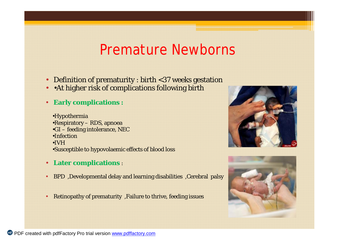## Premature Newborns

- Definition of prematurity : birth <37 weeks gestation
- •At higher risk of complications following birth
- **Early complications :**

•Hypothermia •Respiratory – RDS, apnoea •GI – feeding intolerance, NEC •Infection •IVH •Susceptible to hypovolaemic effects of blood loss

- **Later complications** :
- BPD ,Developmental delay and learning disabilities ,Cerebral palsy
- Retinopathy of prematurity ,Failure to thrive, feeding issues



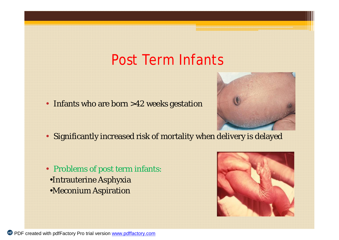## Post Term Infants





- Significantly increased risk of mortality when delivery is delayed
- Problems of post term infants: •Intrauterine Asphyxia •Meconium Aspiration

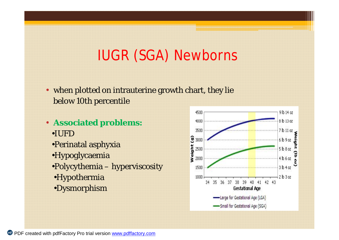## IUGR (SGA) Newborns

- when plotted on intrauterine growth chart, they lie below 10th percentile
- **Associated problems:**  •IUFD •Perinatal asphyxia •Hypoglycaemia •Polycythemia – hyperviscosity •Hypothermia •Dysmorphism

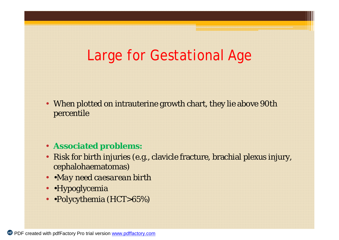## Large for Gestational Age

- When plotted on intrauterine growth chart, they lie above 90th percentile
- **Associated problems:**
- Risk for birth injuries (e.g., clavicle fracture, brachial plexus injury, cephalohaematomas)
- •*May need caesarean birth*
- •Hypoglycemia
- •Polycythemia (HCT>65%)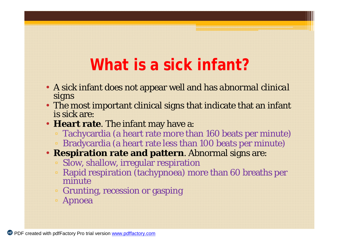## **What is a sick infant?**

- A sick infant does not appear well and has *abnormal clinical signs*
- The most important clinical signs that indicate that an infant is sick are:
- **Heart rate**. The infant may have a:
	- Tachycardia (a heart rate more than 160 beats per minute)
	- Bradycardia (a heart rate less than 100 beats per minute)
- **Respiration rate and pattern**. Abnormal signs are:
	- Slow, shallow, irregular respiration
	- Rapid respiration (tachypnoea) more than 60 breaths per minute
	- Grunting, recession or gasping
	- Apnoea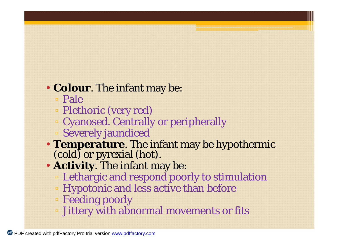## • **Colour**. The infant may be:

- Pale
- Plethoric (very red)
- Cyanosed. Centrally or peripherally
- Severely jaundiced
- **Temperature**. The infant may be hypothermic (cold) or pyrexial (hot).
- **Activity**. The infant may be:
	- Lethargic and respond poorly to stimulation
	- Hypotonic and less active than before
	- Feeding poorly
	- Jittery with abnormal movements or fits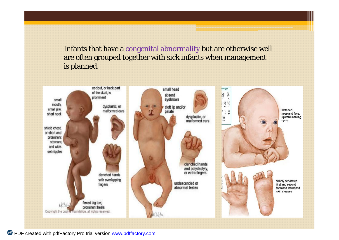Infants that have a congenital abnormality but are otherwise well are often grouped together with sick infants when management is planned.

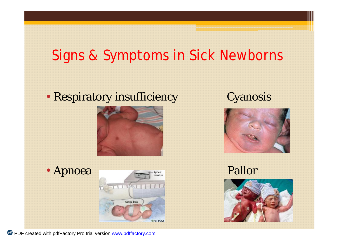## Signs & Symptoms in Sick Newborns

### • Respiratory insufficiency Cyanosis





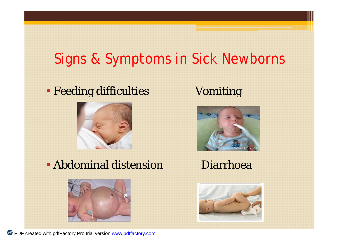## Signs & Symptoms in Sick Newborns

### • Feeding difficulties Vomiting



• Abdominal distension Diarrhoea





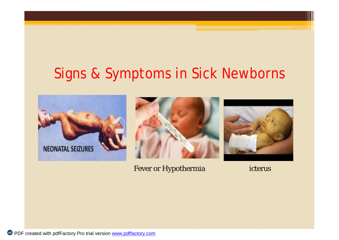## Signs & Symptoms in Sick Newborns

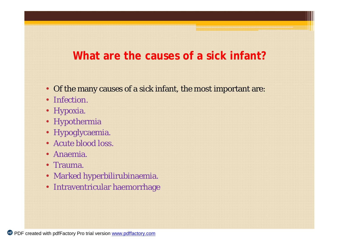#### **What are the causes of a sick infant?**

- Of the many causes of a sick infant, the most important are:
- Infection.
- Hypoxia.
- Hypothermia
- Hypoglycaemia.
- Acute blood loss.
- Anaemia.
- Trauma.
- Marked hyperbilirubinaemia.
- Intraventricular haemorrhage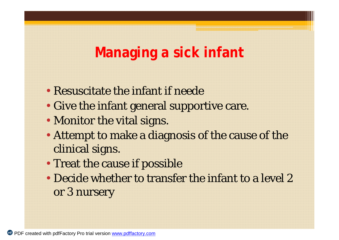## **Managing a sick infant**

- Resuscitate the infant if neede
- Give the infant general supportive care.
- Monitor the vital signs.
- Attempt to make a diagnosis of the cause of the clinical signs.
- Treat the cause if possible
- Decide whether to transfer the infant to a level 2 or 3 nursery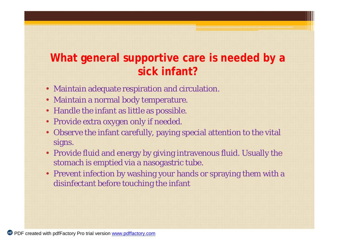### **What general supportive care is needed by a sick infant?**

- Maintain adequate respiration and circulation.
- Maintain a normal body temperature.
- Handle the infant as little as possible.
- Provide extra oxygen only if needed.
- Observe the infant carefully, paying special attention to the vital signs.
- Provide fluid and energy by giving intravenous fluid. Usually the stomach is emptied via a nasogastric tube.
- Prevent infection by washing your hands or spraying them with a disinfectant before touching the infant